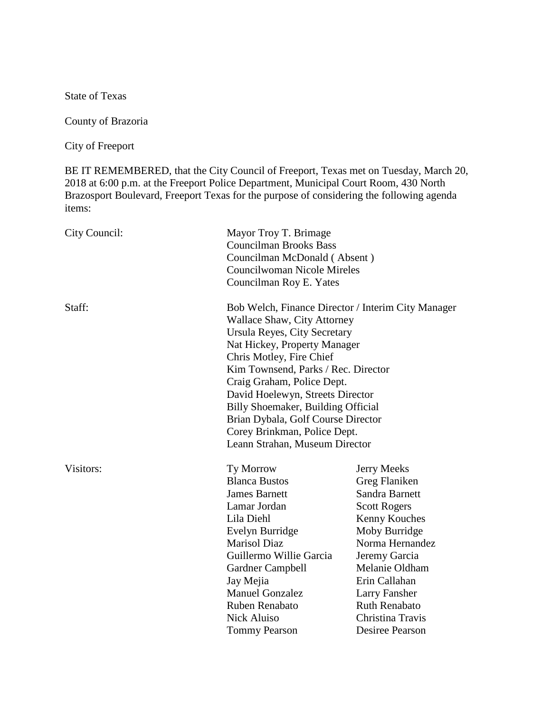State of Texas

County of Brazoria

City of Freeport

BE IT REMEMBERED, that the City Council of Freeport, Texas met on Tuesday, March 20, 2018 at 6:00 p.m. at the Freeport Police Department, Municipal Court Room, 430 North Brazosport Boulevard, Freeport Texas for the purpose of considering the following agenda items:

| City Council: | Mayor Troy T. Brimage<br><b>Councilman Brooks Bass</b><br>Councilman McDonald (Absent)<br><b>Councilwoman Nicole Mireles</b><br>Councilman Roy E. Yates                                                                                                                                                                                                                                                                              |                                                                                                                                                                                                                                                         |
|---------------|--------------------------------------------------------------------------------------------------------------------------------------------------------------------------------------------------------------------------------------------------------------------------------------------------------------------------------------------------------------------------------------------------------------------------------------|---------------------------------------------------------------------------------------------------------------------------------------------------------------------------------------------------------------------------------------------------------|
| Staff:        | Bob Welch, Finance Director / Interim City Manager<br>Wallace Shaw, City Attorney<br>Ursula Reyes, City Secretary<br>Nat Hickey, Property Manager<br>Chris Motley, Fire Chief<br>Kim Townsend, Parks / Rec. Director<br>Craig Graham, Police Dept.<br>David Hoelewyn, Streets Director<br>Billy Shoemaker, Building Official<br>Brian Dybala, Golf Course Director<br>Corey Brinkman, Police Dept.<br>Leann Strahan, Museum Director |                                                                                                                                                                                                                                                         |
| Visitors:     | Ty Morrow<br><b>Blanca Bustos</b><br><b>James Barnett</b><br>Lamar Jordan<br>Lila Diehl<br>Evelyn Burridge<br><b>Marisol Diaz</b><br>Guillermo Willie Garcia<br>Gardner Campbell<br>Jay Mejia<br><b>Manuel Gonzalez</b><br>Ruben Renabato<br><b>Nick Aluiso</b><br><b>Tommy Pearson</b>                                                                                                                                              | Jerry Meeks<br>Greg Flaniken<br>Sandra Barnett<br><b>Scott Rogers</b><br>Kenny Kouches<br>Moby Burridge<br>Norma Hernandez<br>Jeremy Garcia<br>Melanie Oldham<br>Erin Callahan<br>Larry Fansher<br>Ruth Renabato<br>Christina Travis<br>Desiree Pearson |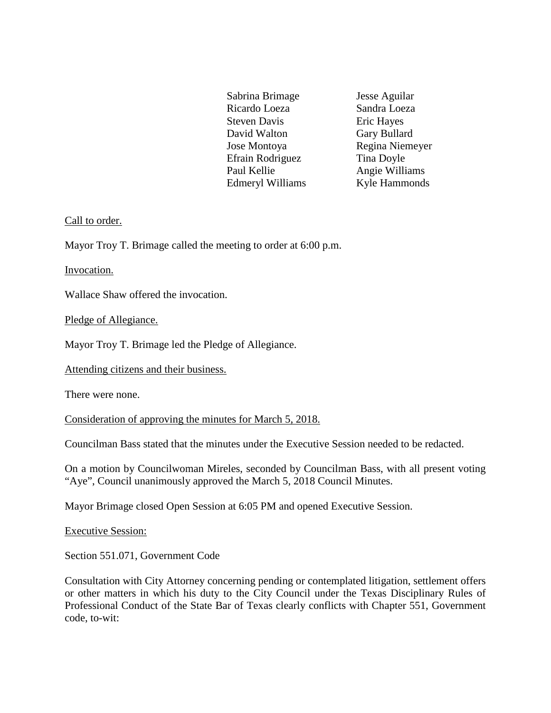Sabrina Brimage Jesse Aguilar Ricardo Loeza Sandra Loeza Steven Davis **Eric Hayes** David Walton Gary Bullard Jose Montoya Regina Niemeyer Efrain Rodriguez Tina Doyle Paul Kellie Angie Williams Edmeryl Williams Kyle Hammonds

### Call to order.

Mayor Troy T. Brimage called the meeting to order at 6:00 p.m.

Invocation.

Wallace Shaw offered the invocation.

Pledge of Allegiance.

Mayor Troy T. Brimage led the Pledge of Allegiance.

Attending citizens and their business.

There were none.

Consideration of approving the minutes for March 5, 2018.

Councilman Bass stated that the minutes under the Executive Session needed to be redacted.

On a motion by Councilwoman Mireles, seconded by Councilman Bass, with all present voting "Aye", Council unanimously approved the March 5, 2018 Council Minutes.

Mayor Brimage closed Open Session at 6:05 PM and opened Executive Session.

Executive Session:

Section 551.071, Government Code

Consultation with City Attorney concerning pending or contemplated litigation, settlement offers or other matters in which his duty to the City Council under the Texas Disciplinary Rules of Professional Conduct of the State Bar of Texas clearly conflicts with Chapter 551, Government code, to-wit: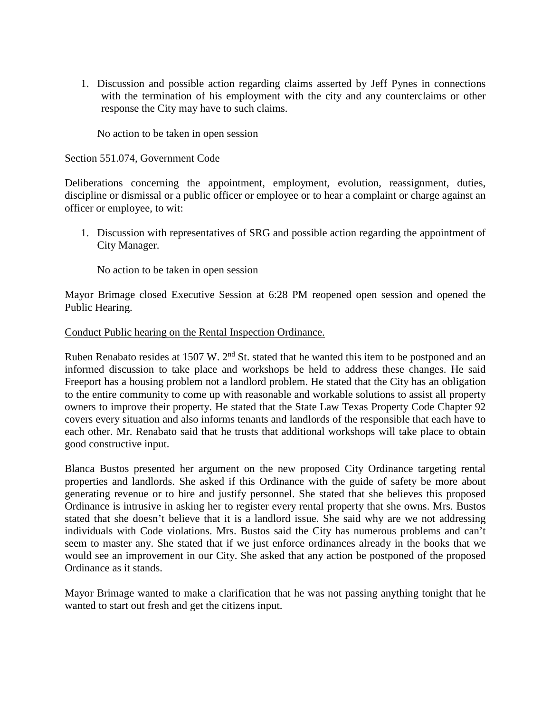1. Discussion and possible action regarding claims asserted by Jeff Pynes in connections with the termination of his employment with the city and any counterclaims or other response the City may have to such claims.

No action to be taken in open session

Section 551.074, Government Code

Deliberations concerning the appointment, employment, evolution, reassignment, duties, discipline or dismissal or a public officer or employee or to hear a complaint or charge against an officer or employee, to wit:

1. Discussion with representatives of SRG and possible action regarding the appointment of City Manager.

No action to be taken in open session

Mayor Brimage closed Executive Session at 6:28 PM reopened open session and opened the Public Hearing.

#### Conduct Public hearing on the Rental Inspection Ordinance.

Ruben Renabato resides at 1507 W. 2<sup>nd</sup> St. stated that he wanted this item to be postponed and an informed discussion to take place and workshops be held to address these changes. He said Freeport has a housing problem not a landlord problem. He stated that the City has an obligation to the entire community to come up with reasonable and workable solutions to assist all property owners to improve their property. He stated that the State Law Texas Property Code Chapter 92 covers every situation and also informs tenants and landlords of the responsible that each have to each other. Mr. Renabato said that he trusts that additional workshops will take place to obtain good constructive input.

Blanca Bustos presented her argument on the new proposed City Ordinance targeting rental properties and landlords. She asked if this Ordinance with the guide of safety be more about generating revenue or to hire and justify personnel. She stated that she believes this proposed Ordinance is intrusive in asking her to register every rental property that she owns. Mrs. Bustos stated that she doesn't believe that it is a landlord issue. She said why are we not addressing individuals with Code violations. Mrs. Bustos said the City has numerous problems and can't seem to master any. She stated that if we just enforce ordinances already in the books that we would see an improvement in our City. She asked that any action be postponed of the proposed Ordinance as it stands.

Mayor Brimage wanted to make a clarification that he was not passing anything tonight that he wanted to start out fresh and get the citizens input.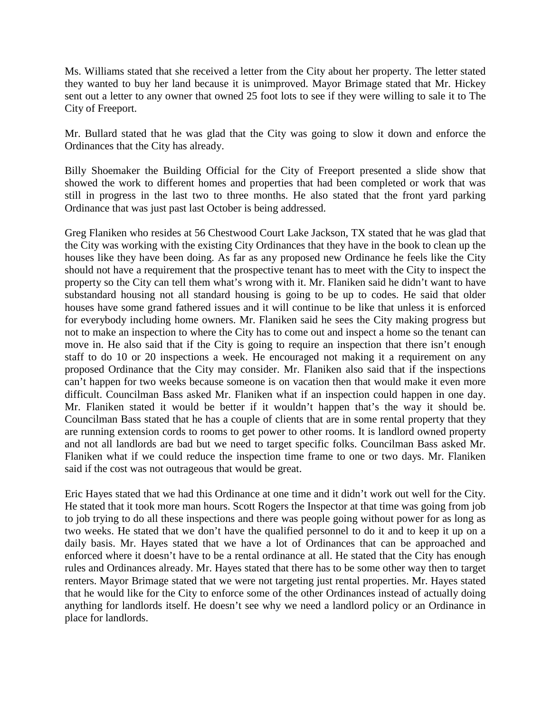Ms. Williams stated that she received a letter from the City about her property. The letter stated they wanted to buy her land because it is unimproved. Mayor Brimage stated that Mr. Hickey sent out a letter to any owner that owned 25 foot lots to see if they were willing to sale it to The City of Freeport.

Mr. Bullard stated that he was glad that the City was going to slow it down and enforce the Ordinances that the City has already.

Billy Shoemaker the Building Official for the City of Freeport presented a slide show that showed the work to different homes and properties that had been completed or work that was still in progress in the last two to three months. He also stated that the front yard parking Ordinance that was just past last October is being addressed.

Greg Flaniken who resides at 56 Chestwood Court Lake Jackson, TX stated that he was glad that the City was working with the existing City Ordinances that they have in the book to clean up the houses like they have been doing. As far as any proposed new Ordinance he feels like the City should not have a requirement that the prospective tenant has to meet with the City to inspect the property so the City can tell them what's wrong with it. Mr. Flaniken said he didn't want to have substandard housing not all standard housing is going to be up to codes. He said that older houses have some grand fathered issues and it will continue to be like that unless it is enforced for everybody including home owners. Mr. Flaniken said he sees the City making progress but not to make an inspection to where the City has to come out and inspect a home so the tenant can move in. He also said that if the City is going to require an inspection that there isn't enough staff to do 10 or 20 inspections a week. He encouraged not making it a requirement on any proposed Ordinance that the City may consider. Mr. Flaniken also said that if the inspections can't happen for two weeks because someone is on vacation then that would make it even more difficult. Councilman Bass asked Mr. Flaniken what if an inspection could happen in one day. Mr. Flaniken stated it would be better if it wouldn't happen that's the way it should be. Councilman Bass stated that he has a couple of clients that are in some rental property that they are running extension cords to rooms to get power to other rooms. It is landlord owned property and not all landlords are bad but we need to target specific folks. Councilman Bass asked Mr. Flaniken what if we could reduce the inspection time frame to one or two days. Mr. Flaniken said if the cost was not outrageous that would be great.

Eric Hayes stated that we had this Ordinance at one time and it didn't work out well for the City. He stated that it took more man hours. Scott Rogers the Inspector at that time was going from job to job trying to do all these inspections and there was people going without power for as long as two weeks. He stated that we don't have the qualified personnel to do it and to keep it up on a daily basis. Mr. Hayes stated that we have a lot of Ordinances that can be approached and enforced where it doesn't have to be a rental ordinance at all. He stated that the City has enough rules and Ordinances already. Mr. Hayes stated that there has to be some other way then to target renters. Mayor Brimage stated that we were not targeting just rental properties. Mr. Hayes stated that he would like for the City to enforce some of the other Ordinances instead of actually doing anything for landlords itself. He doesn't see why we need a landlord policy or an Ordinance in place for landlords.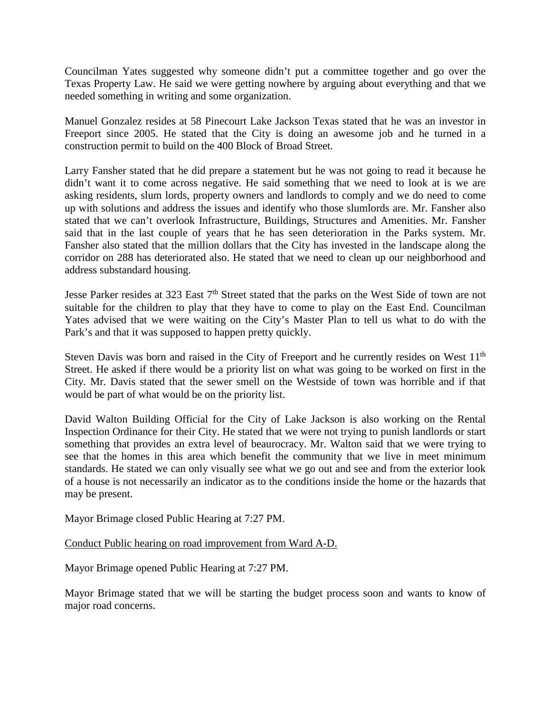Councilman Yates suggested why someone didn't put a committee together and go over the Texas Property Law. He said we were getting nowhere by arguing about everything and that we needed something in writing and some organization.

Manuel Gonzalez resides at 58 Pinecourt Lake Jackson Texas stated that he was an investor in Freeport since 2005. He stated that the City is doing an awesome job and he turned in a construction permit to build on the 400 Block of Broad Street.

Larry Fansher stated that he did prepare a statement but he was not going to read it because he didn't want it to come across negative. He said something that we need to look at is we are asking residents, slum lords, property owners and landlords to comply and we do need to come up with solutions and address the issues and identify who those slumlords are. Mr. Fansher also stated that we can't overlook Infrastructure, Buildings, Structures and Amenities. Mr. Fansher said that in the last couple of years that he has seen deterioration in the Parks system. Mr. Fansher also stated that the million dollars that the City has invested in the landscape along the corridor on 288 has deteriorated also. He stated that we need to clean up our neighborhood and address substandard housing.

Jesse Parker resides at 323 East 7<sup>th</sup> Street stated that the parks on the West Side of town are not suitable for the children to play that they have to come to play on the East End. Councilman Yates advised that we were waiting on the City's Master Plan to tell us what to do with the Park's and that it was supposed to happen pretty quickly.

Steven Davis was born and raised in the City of Freeport and he currently resides on West 11<sup>th</sup> Street. He asked if there would be a priority list on what was going to be worked on first in the City. Mr. Davis stated that the sewer smell on the Westside of town was horrible and if that would be part of what would be on the priority list.

David Walton Building Official for the City of Lake Jackson is also working on the Rental Inspection Ordinance for their City. He stated that we were not trying to punish landlords or start something that provides an extra level of beaurocracy. Mr. Walton said that we were trying to see that the homes in this area which benefit the community that we live in meet minimum standards. He stated we can only visually see what we go out and see and from the exterior look of a house is not necessarily an indicator as to the conditions inside the home or the hazards that may be present.

Mayor Brimage closed Public Hearing at 7:27 PM.

Conduct Public hearing on road improvement from Ward A-D.

Mayor Brimage opened Public Hearing at 7:27 PM.

Mayor Brimage stated that we will be starting the budget process soon and wants to know of major road concerns.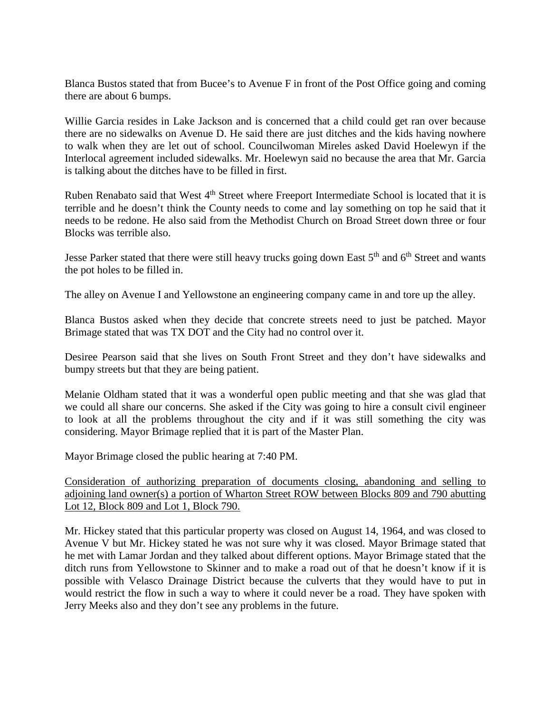Blanca Bustos stated that from Bucee's to Avenue F in front of the Post Office going and coming there are about 6 bumps.

Willie Garcia resides in Lake Jackson and is concerned that a child could get ran over because there are no sidewalks on Avenue D. He said there are just ditches and the kids having nowhere to walk when they are let out of school. Councilwoman Mireles asked David Hoelewyn if the Interlocal agreement included sidewalks. Mr. Hoelewyn said no because the area that Mr. Garcia is talking about the ditches have to be filled in first.

Ruben Renabato said that West 4<sup>th</sup> Street where Freeport Intermediate School is located that it is terrible and he doesn't think the County needs to come and lay something on top he said that it needs to be redone. He also said from the Methodist Church on Broad Street down three or four Blocks was terrible also.

Jesse Parker stated that there were still heavy trucks going down East 5<sup>th</sup> and 6<sup>th</sup> Street and wants the pot holes to be filled in.

The alley on Avenue I and Yellowstone an engineering company came in and tore up the alley.

Blanca Bustos asked when they decide that concrete streets need to just be patched. Mayor Brimage stated that was TX DOT and the City had no control over it.

Desiree Pearson said that she lives on South Front Street and they don't have sidewalks and bumpy streets but that they are being patient.

Melanie Oldham stated that it was a wonderful open public meeting and that she was glad that we could all share our concerns. She asked if the City was going to hire a consult civil engineer to look at all the problems throughout the city and if it was still something the city was considering. Mayor Brimage replied that it is part of the Master Plan.

Mayor Brimage closed the public hearing at 7:40 PM.

Consideration of authorizing preparation of documents closing, abandoning and selling to adjoining land owner(s) a portion of Wharton Street ROW between Blocks 809 and 790 abutting Lot 12, Block 809 and Lot 1, Block 790.

Mr. Hickey stated that this particular property was closed on August 14, 1964, and was closed to Avenue V but Mr. Hickey stated he was not sure why it was closed. Mayor Brimage stated that he met with Lamar Jordan and they talked about different options. Mayor Brimage stated that the ditch runs from Yellowstone to Skinner and to make a road out of that he doesn't know if it is possible with Velasco Drainage District because the culverts that they would have to put in would restrict the flow in such a way to where it could never be a road. They have spoken with Jerry Meeks also and they don't see any problems in the future.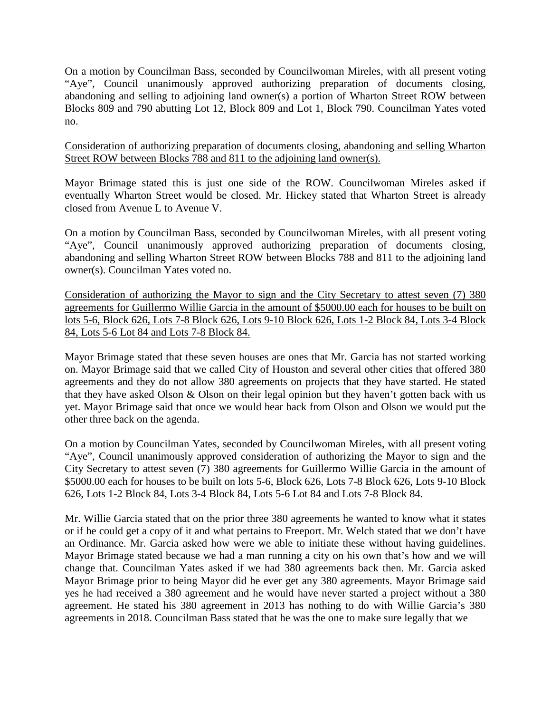On a motion by Councilman Bass, seconded by Councilwoman Mireles, with all present voting "Aye", Council unanimously approved authorizing preparation of documents closing, abandoning and selling to adjoining land owner(s) a portion of Wharton Street ROW between Blocks 809 and 790 abutting Lot 12, Block 809 and Lot 1, Block 790. Councilman Yates voted no.

Consideration of authorizing preparation of documents closing, abandoning and selling Wharton Street ROW between Blocks 788 and 811 to the adjoining land owner(s).

Mayor Brimage stated this is just one side of the ROW. Councilwoman Mireles asked if eventually Wharton Street would be closed. Mr. Hickey stated that Wharton Street is already closed from Avenue L to Avenue V.

On a motion by Councilman Bass, seconded by Councilwoman Mireles, with all present voting "Aye", Council unanimously approved authorizing preparation of documents closing, abandoning and selling Wharton Street ROW between Blocks 788 and 811 to the adjoining land owner(s). Councilman Yates voted no.

Consideration of authorizing the Mayor to sign and the City Secretary to attest seven (7) 380 agreements for Guillermo Willie Garcia in the amount of \$5000.00 each for houses to be built on lots 5-6, Block 626, Lots 7-8 Block 626, Lots 9-10 Block 626, Lots 1-2 Block 84, Lots 3-4 Block 84, Lots 5-6 Lot 84 and Lots 7-8 Block 84.

Mayor Brimage stated that these seven houses are ones that Mr. Garcia has not started working on. Mayor Brimage said that we called City of Houston and several other cities that offered 380 agreements and they do not allow 380 agreements on projects that they have started. He stated that they have asked Olson & Olson on their legal opinion but they haven't gotten back with us yet. Mayor Brimage said that once we would hear back from Olson and Olson we would put the other three back on the agenda.

On a motion by Councilman Yates, seconded by Councilwoman Mireles, with all present voting "Aye", Council unanimously approved consideration of authorizing the Mayor to sign and the City Secretary to attest seven (7) 380 agreements for Guillermo Willie Garcia in the amount of \$5000.00 each for houses to be built on lots 5-6, Block 626, Lots 7-8 Block 626, Lots 9-10 Block 626, Lots 1-2 Block 84, Lots 3-4 Block 84, Lots 5-6 Lot 84 and Lots 7-8 Block 84.

Mr. Willie Garcia stated that on the prior three 380 agreements he wanted to know what it states or if he could get a copy of it and what pertains to Freeport. Mr. Welch stated that we don't have an Ordinance. Mr. Garcia asked how were we able to initiate these without having guidelines. Mayor Brimage stated because we had a man running a city on his own that's how and we will change that. Councilman Yates asked if we had 380 agreements back then. Mr. Garcia asked Mayor Brimage prior to being Mayor did he ever get any 380 agreements. Mayor Brimage said yes he had received a 380 agreement and he would have never started a project without a 380 agreement. He stated his 380 agreement in 2013 has nothing to do with Willie Garcia's 380 agreements in 2018. Councilman Bass stated that he was the one to make sure legally that we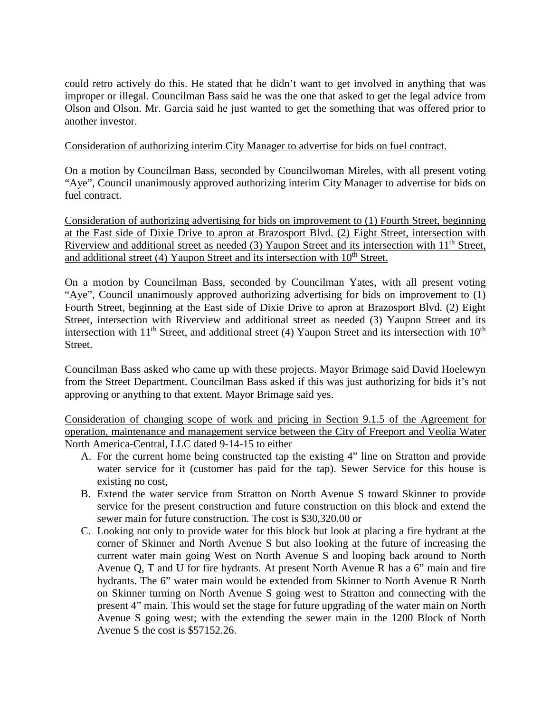could retro actively do this. He stated that he didn't want to get involved in anything that was improper or illegal. Councilman Bass said he was the one that asked to get the legal advice from Olson and Olson. Mr. Garcia said he just wanted to get the something that was offered prior to another investor.

# Consideration of authorizing interim City Manager to advertise for bids on fuel contract.

On a motion by Councilman Bass, seconded by Councilwoman Mireles, with all present voting "Aye", Council unanimously approved authorizing interim City Manager to advertise for bids on fuel contract.

Consideration of authorizing advertising for bids on improvement to (1) Fourth Street, beginning at the East side of Dixie Drive to apron at Brazosport Blvd. (2) Eight Street, intersection with Riverview and additional street as needed (3) Yaupon Street and its intersection with 11<sup>th</sup> Street, and additional street (4) Yaupon Street and its intersection with  $10<sup>th</sup>$  Street.

On a motion by Councilman Bass, seconded by Councilman Yates, with all present voting "Aye", Council unanimously approved authorizing advertising for bids on improvement to (1) Fourth Street, beginning at the East side of Dixie Drive to apron at Brazosport Blvd. (2) Eight Street, intersection with Riverview and additional street as needed (3) Yaupon Street and its intersection with  $11<sup>th</sup>$  Street, and additional street (4) Yaupon Street and its intersection with  $10<sup>th</sup>$ Street.

Councilman Bass asked who came up with these projects. Mayor Brimage said David Hoelewyn from the Street Department. Councilman Bass asked if this was just authorizing for bids it's not approving or anything to that extent. Mayor Brimage said yes.

Consideration of changing scope of work and pricing in Section 9.1.5 of the Agreement for operation, maintenance and management service between the City of Freeport and Veolia Water North America-Central, LLC dated 9-14-15 to either

- A. For the current home being constructed tap the existing 4" line on Stratton and provide water service for it (customer has paid for the tap). Sewer Service for this house is existing no cost,
- B. Extend the water service from Stratton on North Avenue S toward Skinner to provide service for the present construction and future construction on this block and extend the sewer main for future construction. The cost is \$30,320.00 or
- C. Looking not only to provide water for this block but look at placing a fire hydrant at the corner of Skinner and North Avenue S but also looking at the future of increasing the current water main going West on North Avenue S and looping back around to North Avenue Q, T and U for fire hydrants. At present North Avenue R has a 6" main and fire hydrants. The 6" water main would be extended from Skinner to North Avenue R North on Skinner turning on North Avenue S going west to Stratton and connecting with the present 4" main. This would set the stage for future upgrading of the water main on North Avenue S going west; with the extending the sewer main in the 1200 Block of North Avenue S the cost is \$57152.26.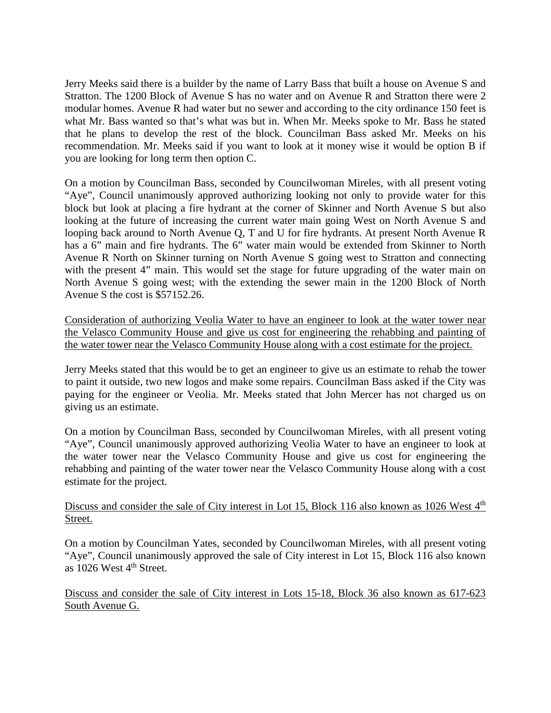Jerry Meeks said there is a builder by the name of Larry Bass that built a house on Avenue S and Stratton. The 1200 Block of Avenue S has no water and on Avenue R and Stratton there were 2 modular homes. Avenue R had water but no sewer and according to the city ordinance 150 feet is what Mr. Bass wanted so that's what was but in. When Mr. Meeks spoke to Mr. Bass he stated that he plans to develop the rest of the block. Councilman Bass asked Mr. Meeks on his recommendation. Mr. Meeks said if you want to look at it money wise it would be option B if you are looking for long term then option C.

On a motion by Councilman Bass, seconded by Councilwoman Mireles, with all present voting "Aye", Council unanimously approved authorizing looking not only to provide water for this block but look at placing a fire hydrant at the corner of Skinner and North Avenue S but also looking at the future of increasing the current water main going West on North Avenue S and looping back around to North Avenue Q, T and U for fire hydrants. At present North Avenue R has a 6" main and fire hydrants. The 6" water main would be extended from Skinner to North Avenue R North on Skinner turning on North Avenue S going west to Stratton and connecting with the present 4" main. This would set the stage for future upgrading of the water main on North Avenue S going west; with the extending the sewer main in the 1200 Block of North Avenue S the cost is \$57152.26.

Consideration of authorizing Veolia Water to have an engineer to look at the water tower near the Velasco Community House and give us cost for engineering the rehabbing and painting of the water tower near the Velasco Community House along with a cost estimate for the project.

Jerry Meeks stated that this would be to get an engineer to give us an estimate to rehab the tower to paint it outside, two new logos and make some repairs. Councilman Bass asked if the City was paying for the engineer or Veolia. Mr. Meeks stated that John Mercer has not charged us on giving us an estimate.

On a motion by Councilman Bass, seconded by Councilwoman Mireles, with all present voting "Aye", Council unanimously approved authorizing Veolia Water to have an engineer to look at the water tower near the Velasco Community House and give us cost for engineering the rehabbing and painting of the water tower near the Velasco Community House along with a cost estimate for the project.

## Discuss and consider the sale of City interest in Lot 15, Block 116 also known as 1026 West 4<sup>th</sup> Street.

On a motion by Councilman Yates, seconded by Councilwoman Mireles, with all present voting "Aye", Council unanimously approved the sale of City interest in Lot 15, Block 116 also known as  $1026$  West  $4<sup>th</sup>$  Street.

Discuss and consider the sale of City interest in Lots 15-18, Block 36 also known as 617-623 South Avenue G.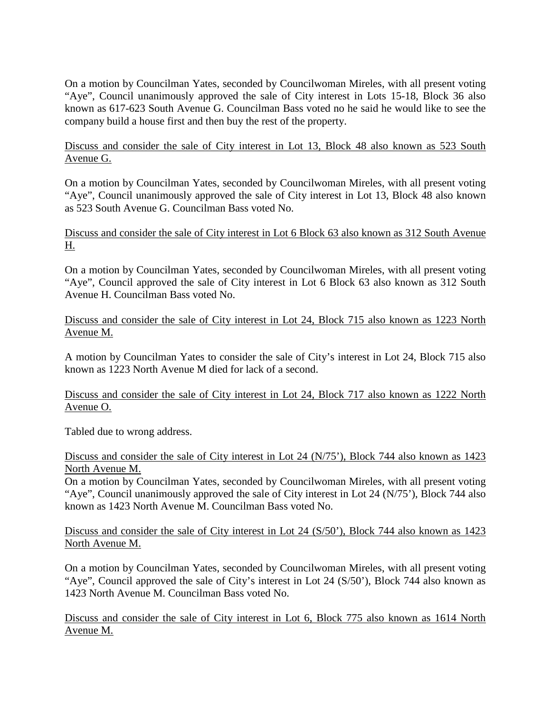On a motion by Councilman Yates, seconded by Councilwoman Mireles, with all present voting "Aye", Council unanimously approved the sale of City interest in Lots 15-18, Block 36 also known as 617-623 South Avenue G. Councilman Bass voted no he said he would like to see the company build a house first and then buy the rest of the property.

Discuss and consider the sale of City interest in Lot 13, Block 48 also known as 523 South Avenue G.

On a motion by Councilman Yates, seconded by Councilwoman Mireles, with all present voting "Aye", Council unanimously approved the sale of City interest in Lot 13, Block 48 also known as 523 South Avenue G. Councilman Bass voted No.

Discuss and consider the sale of City interest in Lot 6 Block 63 also known as 312 South Avenue H.

On a motion by Councilman Yates, seconded by Councilwoman Mireles, with all present voting "Aye", Council approved the sale of City interest in Lot 6 Block 63 also known as 312 South Avenue H. Councilman Bass voted No.

Discuss and consider the sale of City interest in Lot 24, Block 715 also known as 1223 North Avenue M.

A motion by Councilman Yates to consider the sale of City's interest in Lot 24, Block 715 also known as 1223 North Avenue M died for lack of a second.

Discuss and consider the sale of City interest in Lot 24, Block 717 also known as 1222 North Avenue O.

Tabled due to wrong address.

Discuss and consider the sale of City interest in Lot 24 (N/75'), Block 744 also known as 1423 North Avenue M.

On a motion by Councilman Yates, seconded by Councilwoman Mireles, with all present voting "Aye", Council unanimously approved the sale of City interest in Lot 24 (N/75'), Block 744 also known as 1423 North Avenue M. Councilman Bass voted No.

Discuss and consider the sale of City interest in Lot 24 (S/50'), Block 744 also known as 1423 North Avenue M.

On a motion by Councilman Yates, seconded by Councilwoman Mireles, with all present voting "Aye", Council approved the sale of City's interest in Lot 24 (S/50'), Block 744 also known as 1423 North Avenue M. Councilman Bass voted No.

Discuss and consider the sale of City interest in Lot 6, Block 775 also known as 1614 North Avenue M.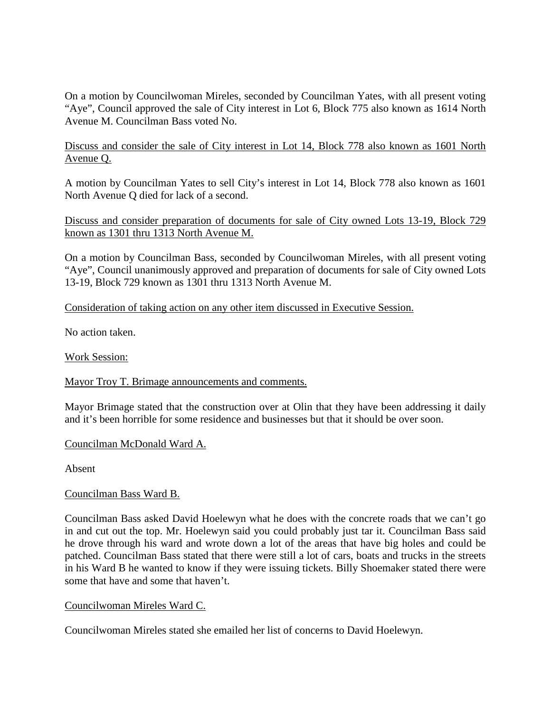On a motion by Councilwoman Mireles, seconded by Councilman Yates, with all present voting "Aye", Council approved the sale of City interest in Lot 6, Block 775 also known as 1614 North Avenue M. Councilman Bass voted No.

Discuss and consider the sale of City interest in Lot 14, Block 778 also known as 1601 North Avenue Q.

A motion by Councilman Yates to sell City's interest in Lot 14, Block 778 also known as 1601 North Avenue Q died for lack of a second.

Discuss and consider preparation of documents for sale of City owned Lots 13-19, Block 729 known as 1301 thru 1313 North Avenue M.

On a motion by Councilman Bass, seconded by Councilwoman Mireles, with all present voting "Aye", Council unanimously approved and preparation of documents for sale of City owned Lots 13-19, Block 729 known as 1301 thru 1313 North Avenue M.

Consideration of taking action on any other item discussed in Executive Session.

No action taken.

Work Session:

Mayor Troy T. Brimage announcements and comments.

Mayor Brimage stated that the construction over at Olin that they have been addressing it daily and it's been horrible for some residence and businesses but that it should be over soon.

Councilman McDonald Ward A.

Absent

## Councilman Bass Ward B.

Councilman Bass asked David Hoelewyn what he does with the concrete roads that we can't go in and cut out the top. Mr. Hoelewyn said you could probably just tar it. Councilman Bass said he drove through his ward and wrote down a lot of the areas that have big holes and could be patched. Councilman Bass stated that there were still a lot of cars, boats and trucks in the streets in his Ward B he wanted to know if they were issuing tickets. Billy Shoemaker stated there were some that have and some that haven't.

## Councilwoman Mireles Ward C.

Councilwoman Mireles stated she emailed her list of concerns to David Hoelewyn.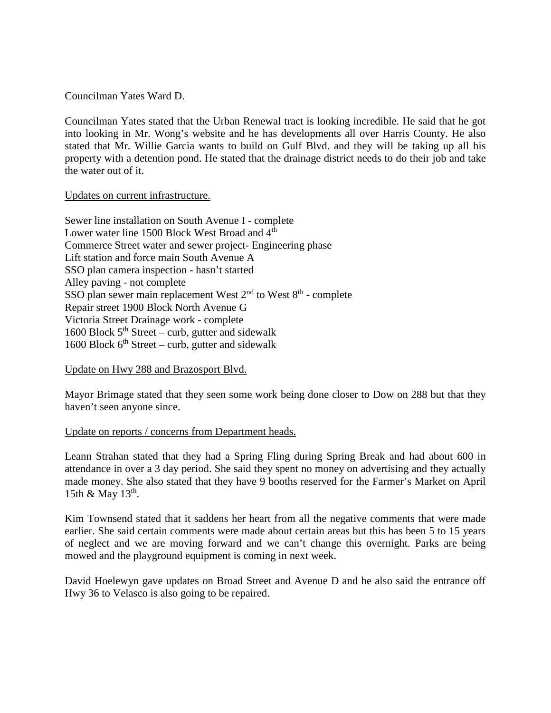## Councilman Yates Ward D.

Councilman Yates stated that the Urban Renewal tract is looking incredible. He said that he got into looking in Mr. Wong's website and he has developments all over Harris County. He also stated that Mr. Willie Garcia wants to build on Gulf Blvd. and they will be taking up all his property with a detention pond. He stated that the drainage district needs to do their job and take the water out of it.

### Updates on current infrastructure.

Sewer line installation on South Avenue I - complete Lower water line 1500 Block West Broad and 4<sup>th</sup> Commerce Street water and sewer project- Engineering phase Lift station and force main South Avenue A SSO plan camera inspection - hasn't started Alley paving - not complete SSO plan sewer main replacement West  $2<sup>nd</sup>$  to West  $8<sup>th</sup>$  - complete Repair street 1900 Block North Avenue G Victoria Street Drainage work - complete 1600 Block  $5<sup>th</sup>$  Street – curb, gutter and sidewalk 1600 Block  $6<sup>th</sup> Street – curb$ , gutter and sidewalk

## Update on Hwy 288 and Brazosport Blvd.

Mayor Brimage stated that they seen some work being done closer to Dow on 288 but that they haven't seen anyone since.

## Update on reports / concerns from Department heads.

Leann Strahan stated that they had a Spring Fling during Spring Break and had about 600 in attendance in over a 3 day period. She said they spent no money on advertising and they actually made money. She also stated that they have 9 booths reserved for the Farmer's Market on April 15th  $\&$  May 13<sup>th</sup>.

Kim Townsend stated that it saddens her heart from all the negative comments that were made earlier. She said certain comments were made about certain areas but this has been 5 to 15 years of neglect and we are moving forward and we can't change this overnight. Parks are being mowed and the playground equipment is coming in next week.

David Hoelewyn gave updates on Broad Street and Avenue D and he also said the entrance off Hwy 36 to Velasco is also going to be repaired.